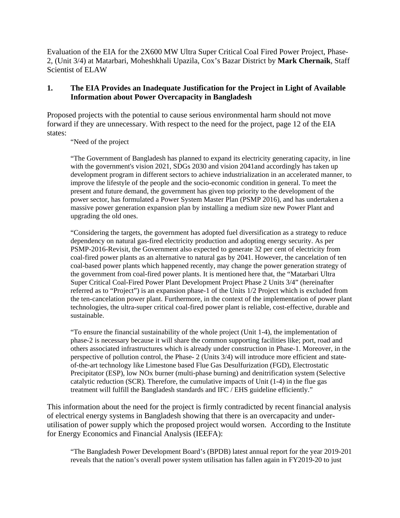Evaluation of the EIA for the 2X600 MW Ultra Super Critical Coal Fired Power Project, Phase-2, (Unit 3/4) at Matarbari, Moheshkhali Upazila, Cox's Bazar District by **Mark Chernaik**, Staff Scientist of ELAW

## **1. The EIA Provides an Inadequate Justification for the Project in Light of Available Information about Power Overcapacity in Bangladesh**

Proposed projects with the potential to cause serious environmental harm should not move forward if they are unnecessary. With respect to the need for the project, page 12 of the EIA states:

"Need of the project

"The Government of Bangladesh has planned to expand its electricity generating capacity, in line with the government's vision 2021, SDGs 2030 and vision 2041 and accordingly has taken up development program in different sectors to achieve industrialization in an accelerated manner, to improve the lifestyle of the people and the socio-economic condition in general. To meet the present and future demand, the government has given top priority to the development of the power sector, has formulated a Power System Master Plan (PSMP 2016), and has undertaken a massive power generation expansion plan by installing a medium size new Power Plant and upgrading the old ones.

"Considering the targets, the government has adopted fuel diversification as a strategy to reduce dependency on natural gas-fired electricity production and adopting energy security. As per PSMP-2016-Revisit, the Government also expected to generate 32 per cent of electricity from coal-fired power plants as an alternative to natural gas by 2041. However, the cancelation of ten coal-based power plants which happened recently, may change the power generation strategy of the government from coal-fired power plants. It is mentioned here that, the "Matarbari Ultra Super Critical Coal-Fired Power Plant Development Project Phase 2 Units 3/4" (hereinafter referred as to "Project") is an expansion phase-1 of the Units 1/2 Project which is excluded from the ten-cancelation power plant. Furthermore, in the context of the implementation of power plant technologies, the ultra-super critical coal-fired power plant is reliable, cost-effective, durable and sustainable.

"To ensure the financial sustainability of the whole project (Unit 1-4), the implementation of phase-2 is necessary because it will share the common supporting facilities like; port, road and others associated infrastructures which is already under construction in Phase-1. Moreover, in the perspective of pollution control, the Phase- 2 (Units 3/4) will introduce more efficient and stateof-the-art technology like Limestone based Flue Gas Desulfurization (FGD), Electrostatic Precipitator (ESP), low NOx burner (multi-phase burning) and denitrification system (Selective catalytic reduction (SCR). Therefore, the cumulative impacts of Unit (1-4) in the flue gas treatment will fulfill the Bangladesh standards and IFC / EHS guideline efficiently."

This information about the need for the project is firmly contradicted by recent financial analysis of electrical energy systems in Bangladesh showing that there is an overcapacity and underutilisation of power supply which the proposed project would worsen. According to the Institute for Energy Economics and Financial Analysis (IEEFA):

"The Bangladesh Power Development Board's (BPDB) latest annual report for the year 2019-201 reveals that the nation's overall power system utilisation has fallen again in FY2019-20 to just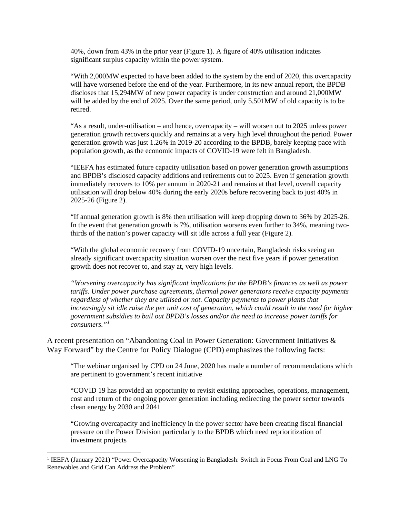40%, down from 43% in the prior year (Figure 1). A figure of 40% utilisation indicates significant surplus capacity within the power system.

"With 2,000MW expected to have been added to the system by the end of 2020, this overcapacity will have worsened before the end of the year. Furthermore, in its new annual report, the BPDB discloses that 15,294MW of new power capacity is under construction and around 21,000MW will be added by the end of 2025. Over the same period, only 5,501MW of old capacity is to be retired.

"As a result, under-utilisation – and hence, overcapacity – will worsen out to 2025 unless power generation growth recovers quickly and remains at a very high level throughout the period. Power generation growth was just 1.26% in 2019-20 according to the BPDB, barely keeping pace with population growth, as the economic impacts of COVID-19 were felt in Bangladesh.

"IEEFA has estimated future capacity utilisation based on power generation growth assumptions and BPDB's disclosed capacity additions and retirements out to 2025. Even if generation growth immediately recovers to 10% per annum in 2020-21 and remains at that level, overall capacity utilisation will drop below 40% during the early 2020s before recovering back to just 40% in 2025-26 (Figure 2).

"If annual generation growth is 8% then utilisation will keep dropping down to 36% by 2025-26. In the event that generation growth is 7%, utilisation worsens even further to 34%, meaning twothirds of the nation's power capacity will sit idle across a full year (Figure 2).

"With the global economic recovery from COVID-19 uncertain, Bangladesh risks seeing an already significant overcapacity situation worsen over the next five years if power generation growth does not recover to, and stay at, very high levels.

*"Worsening overcapacity has significant implications for the BPDB's finances as well as power tariffs. Under power purchase agreements, thermal power generators receive capacity payments regardless of whether they are utilised or not. Capacity payments to power plants that*  increasingly sit idle raise the per unit cost of generation, which could result in the need for higher *government subsidies to bail out BPDB's losses and/or the need to increase power tariffs for consumers."[1](#page-1-0)*

A recent presentation on "Abandoning Coal in Power Generation: Government Initiatives & Way Forward" by the Centre for Policy Dialogue (CPD) emphasizes the following facts:

"The webinar organised by CPD on 24 June, 2020 has made a number of recommendations which are pertinent to government's recent initiative

"COVID 19 has provided an opportunity to revisit existing approaches, operations, management, cost and return of the ongoing power generation including redirecting the power sector towards clean energy by 2030 and 2041

"Growing overcapacity and inefficiency in the power sector have been creating fiscal financial pressure on the Power Division particularly to the BPDB which need reprioritization of investment projects

<span id="page-1-0"></span><sup>&</sup>lt;sup>1</sup> IEEFA (January 2021) "Power Overcapacity Worsening in Bangladesh: Switch in Focus From Coal and LNG To Renewables and Grid Can Address the Problem"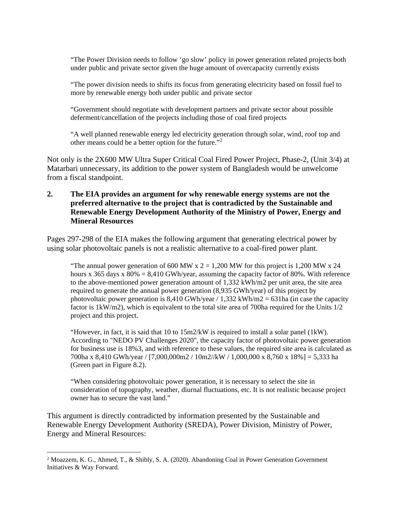"The Power Division needs to follow 'go slow' policy in power generation related projects both under public and private sector given the huge amount of overcapacity currently exists

"The power division needs to shifts its focus from generating electricity based on fossil fuel to more by renewable energy both under public and private sector

"Government should negotiate with development partners and private sector about possible deferment/cancellation of the projects including those of coal fired projects

"A well planned renewable energy led electricity generation through solar, wind, roof top and other means could be a better option for the future."[2](#page-2-0)

Not only is the 2X600 MW Ultra Super Critical Coal Fired Power Project, Phase-2, (Unit 3/4) at Matarbari unnecessary, its addition to the power system of Bangladesh would be unwelcome from a fiscal standpoint.

## **2. The EIA provides an argument for why renewable energy systems are not the preferred alternative to the project that is contradicted by the Sustainable and Renewable Energy Development Authority of the Ministry of Power, Energy and Mineral Resources**

Pages 297-298 of the EIA makes the following argument that generating electrical power by using solar photovoltaic panels is not a realistic alternative to a coal-fired power plant.

"The annual power generation of 600 MW x  $2 = 1,200$  MW for this project is 1,200 MW x 24 hours x 365 days x  $80\% = 8,410$  GWh/year, assuming the capacity factor of 80%. With reference to the above-mentioned power generation amount of 1,332 kWh/m2 per unit area, the site area required to generate the annual power generation (8,935 GWh/year) of this project by photovoltaic power generation is  $8,410$  GWh/year / 1,332 kWh/m2 = 631ha (in case the capacity factor is 1kW/m2), which is equivalent to the total site area of 700ha required for the Units 1/2 project and this project.

"However, in fact, it is said that 10 to 15m2/kW is required to install a solar panel (1kW). According to "NEDO PV Challenges 2020", the capacity factor of photovoltaic power generation for business use is 18%3, and with reference to these values, the required site area is calculated as 700ha x 8,410 GWh/year / [7,000,000m2 / 10m2//kW / 1,000,000 x 8,760 x 18%] = 5,333 ha (Green part in Figure 8.2).

"When considering photovoltaic power generation, it is necessary to select the site in consideration of topography, weather, diurnal fluctuations, etc. It is not realistic because project owner has to secure the vast land."

This argument is directly contradicted by information presented by the Sustainable and Renewable Energy Development Authority (SREDA), Power Division, Ministry of Power, Energy and Mineral Resources:

<span id="page-2-0"></span><sup>2</sup> Moazzem, K. G., Ahmed, T., & Shibly, S. A. (2020). Abandoning Coal in Power Generation Government Initiatives & Way Forward.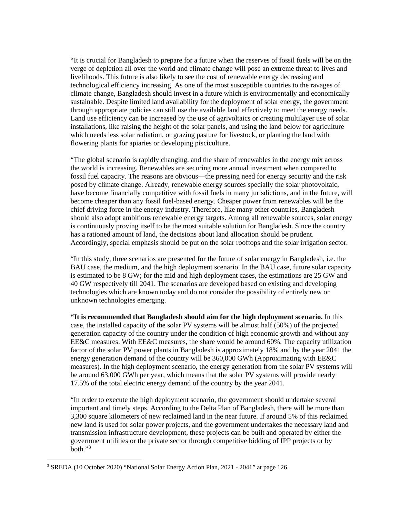"It is crucial for Bangladesh to prepare for a future when the reserves of fossil fuels will be on the verge of depletion all over the world and climate change will pose an extreme threat to lives and livelihoods. This future is also likely to see the cost of renewable energy decreasing and technological efficiency increasing. As one of the most susceptible countries to the ravages of climate change, Bangladesh should invest in a future which is environmentally and economically sustainable. Despite limited land availability for the deployment of solar energy, the government through appropriate policies can still use the available land effectively to meet the energy needs. Land use efficiency can be increased by the use of agrivoltaics or creating multilayer use of solar installations, like raising the height of the solar panels, and using the land below for agriculture which needs less solar radiation, or grazing pasture for livestock, or planting the land with flowering plants for apiaries or developing pisciculture.

"The global scenario is rapidly changing, and the share of renewables in the energy mix across the world is increasing. Renewables are securing more annual investment when compared to fossil fuel capacity. The reasons are obvious—the pressing need for energy security and the risk posed by climate change. Already, renewable energy sources specially the solar photovoltaic, have become financially competitive with fossil fuels in many jurisdictions, and in the future, will become cheaper than any fossil fuel-based energy. Cheaper power from renewables will be the chief driving force in the energy industry. Therefore, like many other countries, Bangladesh should also adopt ambitious renewable energy targets. Among all renewable sources, solar energy is continuously proving itself to be the most suitable solution for Bangladesh. Since the country has a rationed amount of land, the decisions about land allocation should be prudent. Accordingly, special emphasis should be put on the solar rooftops and the solar irrigation sector.

"In this study, three scenarios are presented for the future of solar energy in Bangladesh, i.e. the BAU case, the medium, and the high deployment scenario. In the BAU case, future solar capacity is estimated to be 8 GW; for the mid and high deployment cases, the estimations are 25 GW and 40 GW respectively till 2041. The scenarios are developed based on existing and developing technologies which are known today and do not consider the possibility of entirely new or unknown technologies emerging.

**"It is recommended that Bangladesh should aim for the high deployment scenario.** In this case, the installed capacity of the solar PV systems will be almost half (50%) of the projected generation capacity of the country under the condition of high economic growth and without any EE&C measures. With EE&C measures, the share would be around 60%. The capacity utilization factor of the solar PV power plants in Bangladesh is approximately 18% and by the year 2041 the energy generation demand of the country will be 360,000 GWh (Approximating with EE&C measures). In the high deployment scenario, the energy generation from the solar PV systems will be around 63,000 GWh per year, which means that the solar PV systems will provide nearly 17.5% of the total electric energy demand of the country by the year 2041.

"In order to execute the high deployment scenario, the government should undertake several important and timely steps. According to the Delta Plan of Bangladesh, there will be more than 3,300 square kilometers of new reclaimed land in the near future. If around 5% of this reclaimed new land is used for solar power projects, and the government undertakes the necessary land and transmission infrastructure development, these projects can be built and operated by either the government utilities or the private sector through competitive bidding of IPP projects or by  $both.$ <sup>[3](#page-3-0)</sup>

<span id="page-3-0"></span><sup>3</sup> SREDA (10 October 2020) "National Solar Energy Action Plan, 2021 - 2041" at page 126.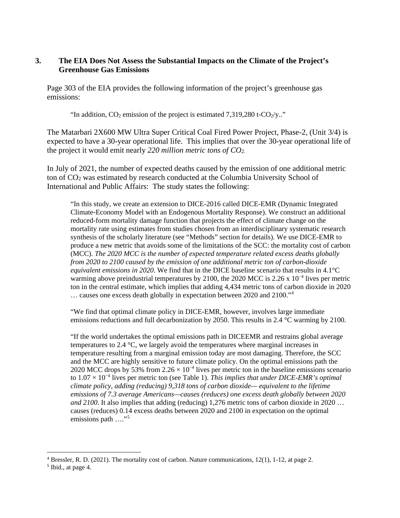# **3. The EIA Does Not Assess the Substantial Impacts on the Climate of the Project's Greenhouse Gas Emissions**

Page 303 of the EIA provides the following information of the project's greenhouse gas emissions:

"In addition,  $CO<sub>2</sub>$  emission of the project is estimated 7,319,280 t- $CO<sub>2</sub>/y$ .."

The Matarbari 2X600 MW Ultra Super Critical Coal Fired Power Project, Phase-2, (Unit 3/4) is expected to have a 30-year operational life. This implies that over the 30-year operational life of the project it would emit nearly *220 million metric tons of CO2.*

In July of 2021, the number of expected deaths caused by the emission of one additional metric ton of CO2 was estimated by research conducted at the Columbia University School of International and Public Affairs: The study states the following:

"In this study, we create an extension to DICE-2016 called DICE-EMR (Dynamic Integrated Climate-Economy Model with an Endogenous Mortality Response). We construct an additional reduced-form mortality damage function that projects the effect of climate change on the mortality rate using estimates from studies chosen from an interdisciplinary systematic research synthesis of the scholarly literature (see "Methods" section for details). We use DICE-EMR to produce a new metric that avoids some of the limitations of the SCC: the mortality cost of carbon (MCC). *The 2020 MCC is the number of expected temperature related excess deaths globally from 2020 to 2100 caused by the emission of one additional metric ton of carbon-dioxide equivalent emissions in 2020*. We find that in the DICE baseline scenario that results in 4.1°C warming above preindustrial temperatures by 2100, the 2020 MCC is 2.26 x  $10^{-4}$  lives per metric ton in the central estimate, which implies that adding 4,434 metric tons of carbon dioxide in 2020 … causes one excess death globally in expectation between 2020 and 2100."[4](#page-4-0)

"We find that optimal climate policy in DICE-EMR, however, involves large immediate emissions reductions and full decarbonization by 2050. This results in 2.4 °C warming by 2100.

"If the world undertakes the optimal emissions path in DICEEMR and restrains global average temperatures to 2.4 °C, we largely avoid the temperatures where marginal increases in temperature resulting from a marginal emission today are most damaging. Therefore, the SCC and the MCC are highly sensitive to future climate policy. On the optimal emissions path the 2020 MCC drops by 53% from 2.26  $\times$  10<sup>-4</sup> lives per metric ton in the baseline emissions scenario to 1.07 × 10−4 lives per metric ton (see Table 1). *This implies that under DICE-EMR's optimal climate policy, adding (reducing) 9,318 tons of carbon dioxide— equivalent to the lifetime emissions of 7.3 average Americans—causes (reduces) one excess death globally between 2020 and 2100*. It also implies that adding (reducing) 1,276 metric tons of carbon dioxide in 2020 … causes (reduces) 0.14 excess deaths between 2020 and 2100 in expectation on the optimal emissions path  $\ldots$ <sup>[5](#page-4-1)</sup>

<span id="page-4-0"></span><sup>4</sup> Bressler, R. D. (2021). The mortality cost of carbon. Nature communications, 12(1), 1-12, at page 2.

<span id="page-4-1"></span> $<sup>5</sup>$  Ibid., at page 4.</sup>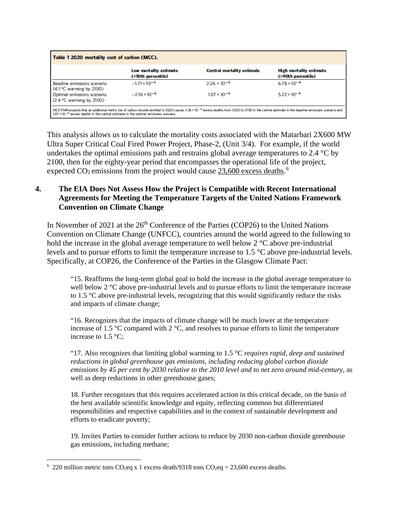| Table 1 2020 mortality cost of carbon (MCC).                                                                                                                                                                                                                                                                      |                                              |                                   |                                                      |  |  |  |  |
|-------------------------------------------------------------------------------------------------------------------------------------------------------------------------------------------------------------------------------------------------------------------------------------------------------------------|----------------------------------------------|-----------------------------------|------------------------------------------------------|--|--|--|--|
|                                                                                                                                                                                                                                                                                                                   | Low mortality estimate<br>(<10th percentile) | <b>Central mortality estimate</b> | <b>High mortality estimate</b><br>(>90th percentile) |  |  |  |  |
| Baseline emissions scenario<br>$(4.1 \degree C$ warming by 2100)                                                                                                                                                                                                                                                  | $-1.71 \times 10^{-4}$                       | $2.26 \times 10^{-4}$             | $6.78 \times 10^{-4}$                                |  |  |  |  |
| Optimal emissions scenario<br>$(2.4 °C$ warming by 2100)                                                                                                                                                                                                                                                          | $-2.16 \times 10^{-4}$                       | $1.07 \times 10^{-4}$             | $5.22 \times 10^{-4}$                                |  |  |  |  |
| DICE-EMR projects that an additional metric ton of carbon dioxide emitted in 2020 causes 2.26 x 10 <sup>-4</sup> excess deaths from 2020 to 2100 in the central estimate in the baseline emissions scenario and<br>$1.07 \times 10^{-4}$ excess deaths in the central estimate in the optimal emissions scenario. |                                              |                                   |                                                      |  |  |  |  |

This analysis allows us to calculate the mortality costs associated with the Matarbari 2X600 MW Ultra Super Critical Coal Fired Power Project, Phase-2, (Unit 3/4). For example, if the world undertakes the optimal emissions path and restrains global average temperatures to 2.4 °C by 2100, then for the eighty-year period that encompasses the operational life of the project, expected  $CO<sub>2</sub>$  emissions from the project would cause  $23,600$  $23,600$  $23,600$  excess deaths.<sup>6</sup>

# **4. The EIA Does Not Assess How the Project is Compatible with Recent International Agreements for Meeting the Temperature Targets of the United Nations Framework Convention on Climate Change**

In November of 2021 at the  $26<sup>th</sup>$  Conference of the Parties (COP26) to the United Nations Convention on Climate Change (UNFCC), countries around the world agreed to the following to hold the increase in the global average temperature to well below 2 °C above pre-industrial levels and to pursue efforts to limit the temperature increase to 1.5 °C above pre-industrial levels. Specifically, at COP26, the Conference of the Parties in the Glasgow Climate Pact:

"15. Reaffirms the long-term global goal to hold the increase in the global average temperature to well below 2 °C above pre-industrial levels and to pursue efforts to limit the temperature increase to 1.5 °C above pre-industrial levels, recognizing that this would significantly reduce the risks and impacts of climate change;

"16. Recognizes that the impacts of climate change will be much lower at the temperature increase of 1.5 °C compared with 2 °C, and resolves to pursue efforts to limit the temperature increase to 1.5 °C;

"17. Also recognizes that limiting global warming to 1.5 °C *requires rapid, deep and sustained reductions in global greenhouse gas emissions, including reducing global carbon dioxide emissions by 45 per cent by 2030 relative to the 2010 level and to net zero around mid-century*, as well as deep reductions in other greenhouse gases;

18. Further recognizes that this requires accelerated action in this critical decade, on the basis of the best available scientific knowledge and equity, reflecting common but differentiated responsibilities and respective capabilities and in the context of sustainable development and efforts to eradicate poverty;

19. Invites Parties to consider further actions to reduce by 2030 non-carbon dioxide greenhouse gas emissions, including methane;

<span id="page-5-0"></span><sup>&</sup>lt;sup>6</sup> 220 million metric tons CO<sub>2</sub>eq x 1 excess death/9318 tons CO<sub>2</sub>eq = 23,600 excess deaths.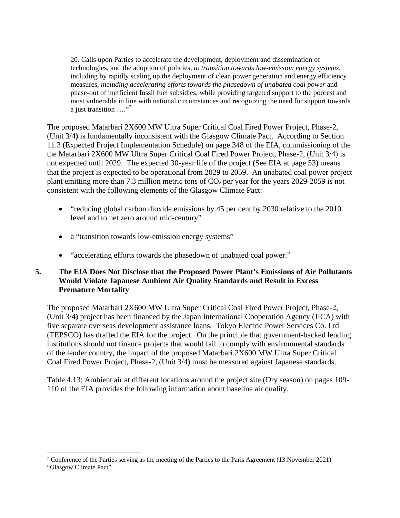20. Calls upon Parties to accelerate the development, deployment and dissemination of technologies, and the adoption of policies, *to transition towards low-emission energy systems*, including by rapidly scaling up the deployment of clean power generation and energy efficiency measures, *including accelerating efforts towards the phasedown of unabated coal power* and phase-out of inefficient fossil fuel subsidies, while providing targeted support to the poorest and most vulnerable in line with national circumstances and recognizing the need for support towards a just transition  $\ldots$ ."<sup>[7](#page-6-0)</sup>

The proposed Matarbari 2X600 MW Ultra Super Critical Coal Fired Power Project, Phase-2, (Unit 3/4**)** is fundamentally inconsistent with the Glasgow Climate Pact. According to Section 11.3 (Expected Project Implementation Schedule) on page 348 of the EIA, commissioning of the the Matarbari 2X600 MW Ultra Super Critical Coal Fired Power Project, Phase-2, (Unit 3/4) is not expected until 2029. The expected 30-year life of the project (See EIA at page 53) means that the project is expected to be operational from 2029 to 2059. An unabated coal power project plant emitting more than 7.3 million metric tons of  $CO<sub>2</sub>$  per year for the years 2029-2059 is not consistent with the following elements of the Glasgow Climate Pact:

- "reducing global carbon dioxide emissions by 45 per cent by 2030 relative to the 2010 level and to net zero around mid-century"
- a "transition towards low-emission energy systems"
- "accelerating efforts towards the phasedown of unabated coal power."

# **5. The EIA Does Not Disclose that the Proposed Power Plant's Emissions of Air Pollutants Would Violate Japanese Ambient Air Quality Standards and Result in Excess Premature Mortality**

The proposed Matarbari 2X600 MW Ultra Super Critical Coal Fired Power Project, Phase-2, (Unit 3/4**)** project has been financed by the Japan International Cooperation Agency (JICA) with five separate overseas development assistance loans. Tokyo Electric Power Services Co. Ltd (TEPSCO) has drafted the EIA for the project. On the principle that government-backed lending institutions should not finance projects that would fail to comply with environmental standards of the lender country, the impact of the proposed Matarbari 2X600 MW Ultra Super Critical Coal Fired Power Project, Phase-2, (Unit 3/4**)** must be measured against Japanese standards.

Table 4.13: Ambient air at different locations around the project site (Dry season) on pages 109- 110 of the EIA provides the following information about baseline air quality.

<span id="page-6-0"></span><sup>7</sup> Conference of the Parties serving as the meeting of the Parties to the Paris Agreement (13 November 2021) "Glasgow Climate Pact"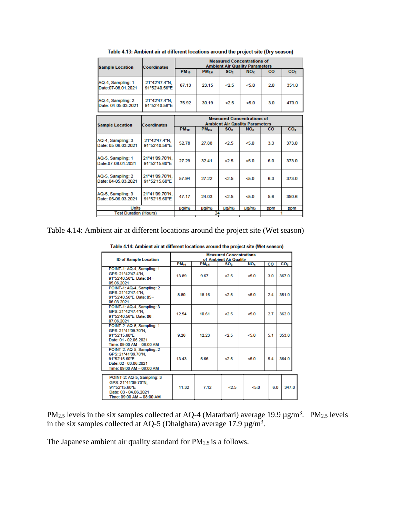| <b>Sample Location</b>                   | <b>Coordinates</b>              | <b>Measured Concentrations of</b><br><b>Ambient Air Quality Parameters</b> |                         |                   |                                                          |           |                 |  |
|------------------------------------------|---------------------------------|----------------------------------------------------------------------------|-------------------------|-------------------|----------------------------------------------------------|-----------|-----------------|--|
|                                          |                                 | <b>PM</b> <sub>10</sub>                                                    | <b>PM</b> <sub>25</sub> | SO <sub>2</sub>   | NO <sub>x</sub>                                          | co        | CO <sub>2</sub> |  |
| AQ-4, Sampling: 1<br>Date:07-08.01.2021  | 21°42'47.4"N.<br>91°52'40.56"E  | 67.13                                                                      | 23.15                   | 2.5               | 5.0                                                      | 20        | 351.0           |  |
| AQ-4, Sampling: 2<br>Date: 04-05.03.2021 | 21°42'47.4"N.<br>91°52'40.56"E  | 75.92                                                                      | 30.19                   | 2.5               | 5.0                                                      | 3.0       | 473.0           |  |
| <b>Sample Location</b>                   |                                 |                                                                            |                         |                   | <b>Measured Concentrations of</b>                        |           |                 |  |
|                                          | Coordinates                     | <b>PM</b> <sub>10</sub>                                                    | PM <sub>2.5</sub>       | SO <sub>2</sub>   | <b>Ambient Air Quality Parameters</b><br>NO <sub>x</sub> | <b>CO</b> | CO <sub>2</sub> |  |
| AQ-4, Sampling: 3<br>Date: 05-06.03.2021 | 21°42'47.4"N.<br>91°52'40.56"E  | 52.78                                                                      | 27.88                   | 2.5               | 50                                                       | 3.3       | 373.0           |  |
| AQ-5, Sampling: 1<br>Date:07-08.01.2021  | 21°41'09.70"N.<br>91°52'15.60"E | 27.29                                                                      | 32.41                   | 2.5               | 50                                                       | 6.0       | 373.0           |  |
| AQ-5, Sampling: 2<br>Date: 04-05.03.2021 | 21°41'09.70"N.<br>91°52'15.60"E | 57.94                                                                      | 27.22                   | 2.5               | 50                                                       | 63        | 373.0           |  |
| AQ-5, Sampling: 3<br>Date: 05-06.03.2021 | 21°41'09.70"N.<br>91°52'15.60"E | 47.17                                                                      | 24.03                   | 2.5               | 5.0                                                      | 5.6       | 350.6           |  |
| <b>Units</b>                             |                                 | µg/m <sub>3</sub>                                                          | µg/m <sub>3</sub>       | µg/m <sub>3</sub> | $\mu q/m3$                                               | ppm       | ppm             |  |
| <b>Test Duration (Hours)</b>             |                                 | 24                                                                         |                         |                   |                                                          |           |                 |  |

Table 4.13: Ambient air at different locations around the project site (Dry season)

Table 4.14: Ambient air at different locations around the project site (Wet season)

Table 4.14: Ambient air at different locations around the project site (Wet season)

| <b>ID of Sample Location</b>                                                                                             | <b>Measured Concentrations</b><br>of Ambient Air Quality |                   |                 |                 |           |                 |
|--------------------------------------------------------------------------------------------------------------------------|----------------------------------------------------------|-------------------|-----------------|-----------------|-----------|-----------------|
|                                                                                                                          | <b>PM<sub>10</sub></b>                                   | PM <sub>2.5</sub> | SO <sub>2</sub> | NO <sub>x</sub> | <b>CO</b> | CO <sub>2</sub> |
| POINT-1: AQ-4, Sampling: 1<br>GPS: 21°42'47.4"N.<br>91°52'40.56"E Date: 04 -<br>05.06.2021                               | 13.89                                                    | 9.67              | 2.5             | $50 - 50$       | 30        | 367.0           |
| POINT-1: AQ-4, Sampling: 2<br>GPS: 21°42'47.4"N.<br>91°52'40.56"E Date: 05 -<br>06.03.2021                               | 8.80                                                     | 18.16             | 2.5             | 5.0             | 2.4       | 351.0           |
| POINT-1: AQ-4, Sampling: 3<br>GPS: 21°42'47.4"N.<br>91°52'40.56"E Date: 06 -<br>07.06.2021                               | 12.54                                                    | 10.61             | 2.5             | 5.0             | 2.7       | 362.0           |
| POINT-2: AQ-5, Sampling: 1<br>GPS: 21°41'09.70"N.<br>91°52'15.60"E<br>Date: 01 - 02.06.2021<br>Time: 09:00 AM - 08:00 AM | 9.26                                                     | 12.23             | <2.5            | $50 - 50$       | 5.1       | 353.0           |
| POINT-2: AQ-5, Sampling: 2<br>GPS: 21°41'09.70"N.<br>91°52'15.60"E<br>Date: 02 - 03.06.2021<br>Time: 09:00 AM - 08:00 AM | 13.43                                                    | 5.66              | 25              | 5.0             | 5.4       | 364.0           |
| POINT-2: AQ-5, Sampling: 3<br>GPS: 21°41'09.70"N.<br>91°52'15.60"E<br>Date: 03 - 04.06.2021<br>Time: 09:00 AM - 08:00 AM | 11.32                                                    | 7.12              | 2.5             | < 5.0           | 6.0       | 347.0           |

PM<sub>2.5</sub> levels in the six samples collected at AQ-4 (Matarbari) average 19.9  $\mu$ g/m<sup>3</sup>. PM<sub>2.5</sub> levels in the six samples collected at AQ-5 (Dhalghata) average 17.9  $\mu$ g/m<sup>3</sup>.

The Japanese ambient air quality standard for PM2.5 is a follows.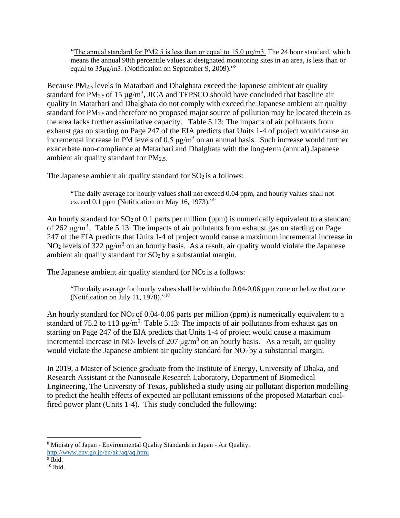"The annual standard for PM2.5 is less than or equal to 15.0  $\mu$ g/m3. The 24 hour standard, which means the annual 98th percentile values at designated monitoring sites in an area, is less than or equal to 35μg/m3. (Notification on September 9, 2009)."[8](#page-8-0)

Because PM<sub>2.5</sub> levels in Matarbari and Dhalghata exceed the Japanese ambient air quality standard for PM<sub>2.5</sub> of 15  $\mu$ g/m<sup>3</sup>, JICA and TEPSCO should have concluded that baseline air quality in Matarbari and Dhalghata do not comply with exceed the Japanese ambient air quality standard for PM2.5 and therefore no proposed major source of pollution may be located therein as the area lacks further assimilative capacity. Table 5.13: The impacts of air pollutants from exhaust gas on starting on Page 247 of the EIA predicts that Units 1-4 of project would cause an incremental increase in PM levels of 0.5  $\mu$ g/m<sup>3</sup> on an annual basis. Such increase would further exacerbate non-compliance at Matarbari and Dhalghata with the long-term (annual) Japanese ambient air quality standard for PM2.5.

The Japanese ambient air quality standard for  $SO<sub>2</sub>$  is a follows:

"The daily average for hourly values shall not exceed 0.04 ppm, and hourly values shall not exceed 0.1 ppm (Notification on May 16, 1[9](#page-8-1)73)."<sup>9</sup>

An hourly standard for  $SO_2$  of 0.1 parts per million (ppm) is numerically equivalent to a standard of 262  $\mu$ g/m<sup>3</sup>. Table 5.13: The impacts of air pollutants from exhaust gas on starting on Page 247 of the EIA predicts that Units 1-4 of project would cause a maximum incremental increase in NO<sub>2</sub> levels of 322  $\mu$ g/m<sup>3</sup> on an hourly basis. As a result, air quality would violate the Japanese ambient air quality standard for SO2 by a substantial margin.

The Japanese ambient air quality standard for  $NO<sub>2</sub>$  is a follows:

"The daily average for hourly values shall be within the 0.04-0.06 ppm zone or below that zone (Notification on July 11, 1978)."<sup>[10](#page-8-2)</sup>

An hourly standard for  $NO<sub>2</sub>$  of 0.04-0.06 parts per million (ppm) is numerically equivalent to a standard of 75.2 to 113  $\mu$ g/m<sup>3.</sup> Table 5.13: The impacts of air pollutants from exhaust gas on starting on Page 247 of the EIA predicts that Units 1-4 of project would cause a maximum incremental increase in NO<sub>2</sub> levels of 207  $\mu$ g/m<sup>3</sup> on an hourly basis. As a result, air quality would violate the Japanese ambient air quality standard for  $NO<sub>2</sub>$  by a substantial margin.

In 2019, a Master of Science graduate from the Institute of Energy, University of Dhaka, and Research Assistant at the Nanoscale Research Laboratory, Department of Biomedical Engineering, The University of Texas, published a study using air pollutant disperion modelling to predict the health effects of expected air pollutant emissions of the proposed Matarbari coalfired power plant (Units 1-4). This study concluded the following:

<span id="page-8-0"></span><sup>8</sup> Ministry of Japan - Environmental Quality Standards in Japan - Air Quality.

<http://www.env.go.jp/en/air/aq/aq.html>

<span id="page-8-1"></span> $9$  Ibid.

<span id="page-8-2"></span> $10$  Ibid.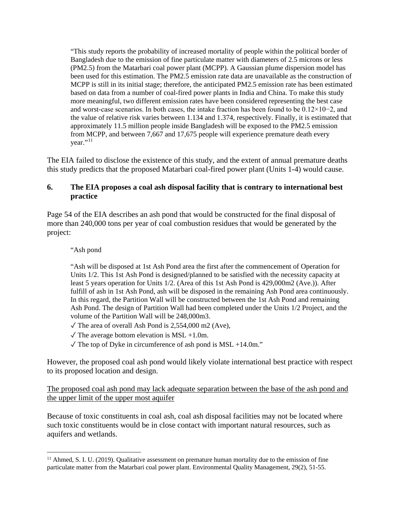"This study reports the probability of increased mortality of people within the political border of Bangladesh due to the emission of fine particulate matter with diameters of 2.5 microns or less (PM2.5) from the Matarbari coal power plant (MCPP). A Gaussian plume dispersion model has been used for this estimation. The PM2.5 emission rate data are unavailable as the construction of MCPP is still in its initial stage; therefore, the anticipated PM2.5 emission rate has been estimated based on data from a number of coal-fired power plants in India and China. To make this study more meaningful, two different emission rates have been considered representing the best case and worst-case scenarios. In both cases, the intake fraction has been found to be 0.12×10−2, and the value of relative risk varies between 1.134 and 1.374, respectively. Finally, it is estimated that approximately 11.5 million people inside Bangladesh will be exposed to the PM2.5 emission from MCPP, and between 7,667 and 17,675 people will experience premature death every  $year.$ <sup>''[11](#page-9-0)</sup>

The EIA failed to disclose the existence of this study, and the extent of annual premature deaths this study predicts that the proposed Matarbari coal-fired power plant (Units 1-4) would cause.

## **6. The EIA proposes a coal ash disposal facility that is contrary to international best practice**

Page 54 of the EIA describes an ash pond that would be constructed for the final disposal of more than 240,000 tons per year of coal combustion residues that would be generated by the project:

#### "Ash pond

"Ash will be disposed at 1st Ash Pond area the first after the commencement of Operation for Units 1/2. This 1st Ash Pond is designed/planned to be satisfied with the necessity capacity at least 5 years operation for Units 1/2. (Area of this 1st Ash Pond is 429,000m2 (Ave.)). After fulfill of ash in 1st Ash Pond, ash will be disposed in the remaining Ash Pond area continuously. In this regard, the Partition Wall will be constructed between the 1st Ash Pond and remaining Ash Pond. The design of Partition Wall had been completed under the Units 1/2 Project, and the volume of the Partition Wall will be 248,000m3.

- $\sqrt{\text{The area of overall Ash Pond is } 2,554,000 \text{ m2 (Ave)}}$ ,
- $\sqrt{\text{The average bottom elevation is MSL} + 1.0\text{m}}$ .
- $\sqrt{\text{The top of Dyke in circumference of ash pond is MSL} + 14.0 \text{m}}$ ."

However, the proposed coal ash pond would likely violate international best practice with respect to its proposed location and design.

The proposed coal ash pond may lack adequate separation between the base of the ash pond and the upper limit of the upper most aquifer

Because of toxic constituents in coal ash, coal ash disposal facilities may not be located where such toxic constituents would be in close contact with important natural resources, such as aquifers and wetlands.

<span id="page-9-0"></span><sup>&</sup>lt;sup>11</sup> Ahmed, S. I. U. (2019). Qualitative assessment on premature human mortality due to the emission of fine particulate matter from the Matarbari coal power plant. Environmental Quality Management, 29(2), 51-55.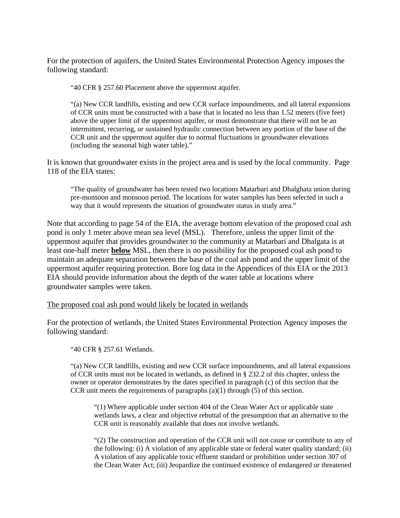For the protection of aquifers, the United States Environmental Protection Agency imposes the following standard:

"40 CFR § 257.60 Placement above the uppermost aquifer.

"(a) New CCR landfills, existing and new CCR surface impoundments, and all lateral expansions of CCR units must be constructed with a base that is located no less than 1.52 meters (five feet) above the upper limit of the uppermost aquifer, or must demonstrate that there will not be an intermittent, recurring, or sustained hydraulic connection between any portion of the base of the CCR unit and the uppermost aquifer due to normal fluctuations in groundwater elevations (including the seasonal high water table)."

It is known that groundwater exists in the project area and is used by the local community. Page 118 of the EIA states:

"The quality of groundwater has been tested two locations Matarbari and Dhalghata union during pre-monsoon and monsoon period. The locations for water samples has been selected in such a way that it would represents the situation of groundwater status in study area."

Note that according to page 54 of the EIA, the average bottom elevation of the proposed coal ash pond is only 1 meter above mean sea level (MSL). Therefore, unless the upper limit of the uppermost aquifer that provides groundwater to the community at Matarbari and Dhalgata is at least one-half meter **below** MSL, then there is no possibility for the proposed coal ash pond to maintain an adequate separation between the base of the coal ash pond and the upper limit of the uppermost aquifer requiring protection. Bore log data in the Appendices of this EIA or the 2013 EIA should provide information about the depth of the water table at locations where groundwater samples were taken.

#### The proposed coal ash pond would likely be located in wetlands

For the protection of wetlands, the United States Environmental Protection Agency imposes the following standard:

"40 CFR § 257.61 Wetlands.

"(a) New CCR landfills, existing and new CCR surface impoundments, and all lateral expansions of CCR units must not be located in wetlands, as defined in § 232.2 of this chapter, unless the owner or operator demonstrates by the dates specified in paragraph (c) of this section that the CCR unit meets the requirements of paragraphs (a)(1) through (5) of this section.

"(1) Where applicable under section 404 of the Clean Water Act or applicable state wetlands laws, a clear and objective rebuttal of the presumption that an alternative to the CCR unit is reasonably available that does not involve wetlands.

"(2) The construction and operation of the CCR unit will not cause or contribute to any of the following: (i) A violation of any applicable state or federal water quality standard; (ii) A violation of any applicable toxic effluent standard or prohibition under section 307 of the Clean Water Act; (iii) Jeopardize the continued existence of endangered or threatened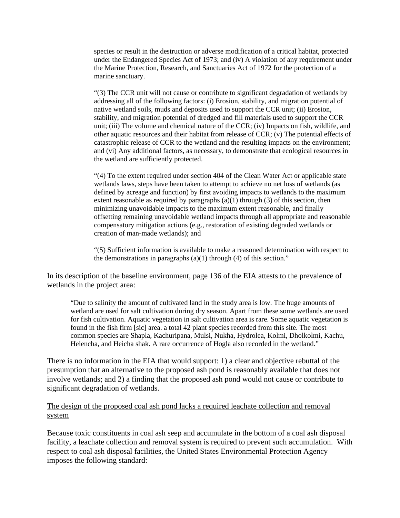species or result in the destruction or adverse modification of a critical habitat, protected under the Endangered Species Act of 1973; and (iv) A violation of any requirement under the Marine Protection, Research, and Sanctuaries Act of 1972 for the protection of a marine sanctuary.

"(3) The CCR unit will not cause or contribute to significant degradation of wetlands by addressing all of the following factors: (i) Erosion, stability, and migration potential of native wetland soils, muds and deposits used to support the CCR unit; (ii) Erosion, stability, and migration potential of dredged and fill materials used to support the CCR unit; (iii) The volume and chemical nature of the CCR; (iv) Impacts on fish, wildlife, and other aquatic resources and their habitat from release of CCR; (v) The potential effects of catastrophic release of CCR to the wetland and the resulting impacts on the environment; and (vi) Any additional factors, as necessary, to demonstrate that ecological resources in the wetland are sufficiently protected.

"(4) To the extent required under section 404 of the Clean Water Act or applicable state wetlands laws, steps have been taken to attempt to achieve no net loss of wetlands (as defined by acreage and function) by first avoiding impacts to wetlands to the maximum extent reasonable as required by paragraphs  $(a)(1)$  through  $(3)$  of this section, then minimizing unavoidable impacts to the maximum extent reasonable, and finally offsetting remaining unavoidable wetland impacts through all appropriate and reasonable compensatory mitigation actions (e.g., restoration of existing degraded wetlands or creation of man-made wetlands); and

"(5) Sufficient information is available to make a reasoned determination with respect to the demonstrations in paragraphs  $(a)(1)$  through  $(4)$  of this section."

In its description of the baseline environment, page 136 of the EIA attests to the prevalence of wetlands in the project area:

"Due to salinity the amount of cultivated land in the study area is low. The huge amounts of wetland are used for salt cultivation during dry season. Apart from these some wetlands are used for fish cultivation. Aquatic vegetation in salt cultivation area is rare. Some aquatic vegetation is found in the fish firm [sic] area. a total 42 plant species recorded from this site. The most common species are Shapla, Kachuripana, Mulsi, Nukha, Hydrolea, Kolmi, Dholkolmi, Kachu, Helencha, and Heicha shak. A rare occurrence of Hogla also recorded in the wetland."

There is no information in the EIA that would support: 1) a clear and objective rebuttal of the presumption that an alternative to the proposed ash pond is reasonably available that does not involve wetlands; and 2) a finding that the proposed ash pond would not cause or contribute to significant degradation of wetlands.

### The design of the proposed coal ash pond lacks a required leachate collection and removal system

Because toxic constituents in coal ash seep and accumulate in the bottom of a coal ash disposal facility, a leachate collection and removal system is required to prevent such accumulation. With respect to coal ash disposal facilities, the United States Environmental Protection Agency imposes the following standard: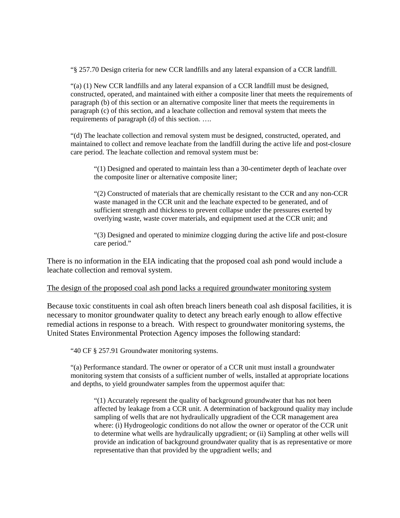"§ 257.70 Design criteria for new CCR landfills and any lateral expansion of a CCR landfill.

"(a) (1) New CCR landfills and any lateral expansion of a CCR landfill must be designed, constructed, operated, and maintained with either a composite liner that meets the requirements of paragraph (b) of this section or an alternative composite liner that meets the requirements in paragraph (c) of this section, and a leachate collection and removal system that meets the requirements of paragraph (d) of this section. ….

"(d) The leachate collection and removal system must be designed, constructed, operated, and maintained to collect and remove leachate from the landfill during the active life and post-closure care period. The leachate collection and removal system must be:

"(1) Designed and operated to maintain less than a 30-centimeter depth of leachate over the composite liner or alternative composite liner;

"(2) Constructed of materials that are chemically resistant to the CCR and any non-CCR waste managed in the CCR unit and the leachate expected to be generated, and of sufficient strength and thickness to prevent collapse under the pressures exerted by overlying waste, waste cover materials, and equipment used at the CCR unit; and

"(3) Designed and operated to minimize clogging during the active life and post-closure care period."

There is no information in the EIA indicating that the proposed coal ash pond would include a leachate collection and removal system.

#### The design of the proposed coal ash pond lacks a required groundwater monitoring system

Because toxic constituents in coal ash often breach liners beneath coal ash disposal facilities, it is necessary to monitor groundwater quality to detect any breach early enough to allow effective remedial actions in response to a breach. With respect to groundwater monitoring systems, the United States Environmental Protection Agency imposes the following standard:

"40 CF § 257.91 Groundwater monitoring systems.

"(a) Performance standard. The owner or operator of a CCR unit must install a groundwater monitoring system that consists of a sufficient number of wells, installed at appropriate locations and depths, to yield groundwater samples from the uppermost aquifer that:

"(1) Accurately represent the quality of background groundwater that has not been affected by leakage from a CCR unit. A determination of background quality may include sampling of wells that are not hydraulically upgradient of the CCR management area where: (i) Hydrogeologic conditions do not allow the owner or operator of the CCR unit to determine what wells are hydraulically upgradient; or (ii) Sampling at other wells will provide an indication of background groundwater quality that is as representative or more representative than that provided by the upgradient wells; and